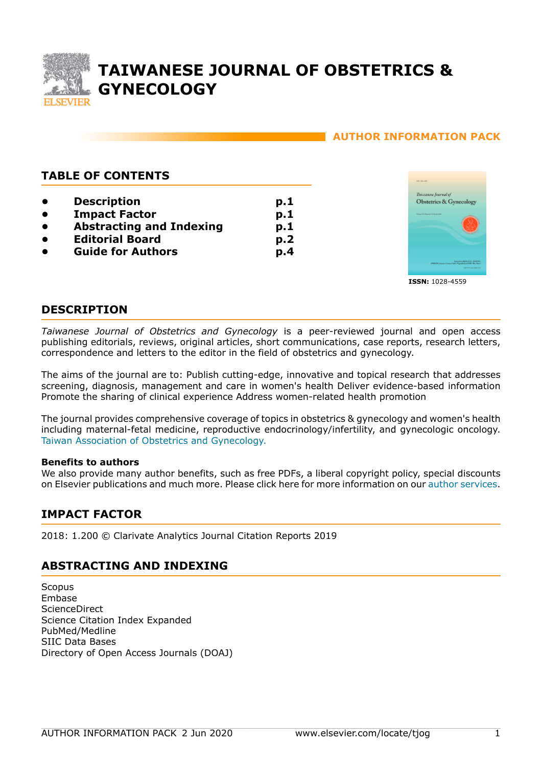

# **TAIWANESE JOURNAL OF OBSTETRICS & GYNECOLOGY**

**p.1 p.1 p.1 p.2 p.4**

# **AUTHOR INFORMATION PACK**

# **TABLE OF CONTENTS**

- **[Description](#page-0-0)**
- **[Impact Factor](#page-0-1) • [Abstracting and Indexing](#page-0-2)**
- **[Editorial Board](#page-1-0)**
- 
- **[Guide for Authors](#page-3-0)**



**ISSN:** 1028-4559

# <span id="page-0-0"></span>**DESCRIPTION**

*Taiwanese Journal of Obstetrics and Gynecology* is a peer-reviewed journal and open access publishing editorials, reviews, original articles, short communications, case reports, research letters, correspondence and letters to the editor in the field of obstetrics and gynecology.

The aims of the journal are to: Publish cutting-edge, innovative and topical research that addresses screening, diagnosis, management and care in women's health Deliver evidence-based information Promote the sharing of clinical experience Address women-related health promotion

The journal provides comprehensive coverage of topics in obstetrics & gynecology and women's health including maternal-fetal medicine, reproductive endocrinology/infertility, and gynecologic oncology. [Taiwan Association of Obstetrics and Gynecology.](http://www.taog.org.tw/htm/index.asp)

### **Benefits to authors**

We also provide many author benefits, such as free PDFs, a liberal copyright policy, special discounts on Elsevier publications and much more. Please click here for more information on our [author services](http://www.elsevier.com/journal-authors/author-services).

# <span id="page-0-1"></span>**IMPACT FACTOR**

2018: 1.200 © Clarivate Analytics Journal Citation Reports 2019

# <span id="page-0-2"></span>**ABSTRACTING AND INDEXING**

**Scopus** Embase **ScienceDirect** Science Citation Index Expanded PubMed/Medline SIIC Data Bases Directory of Open Access Journals (DOAJ)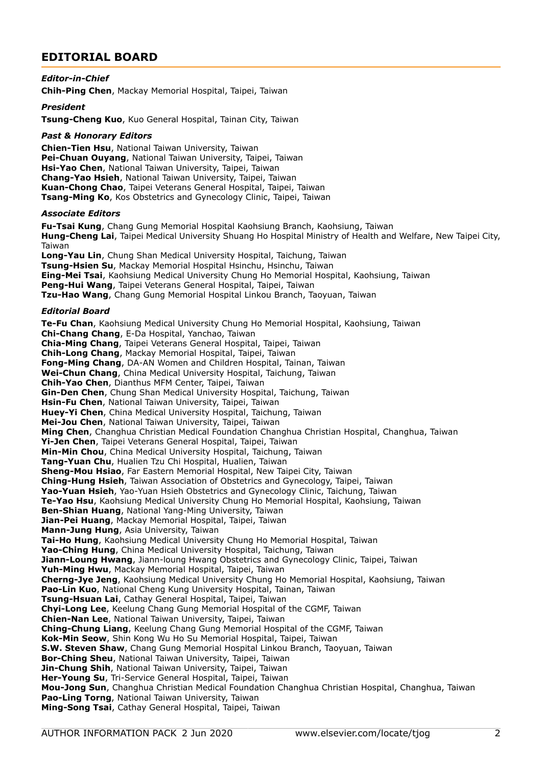# <span id="page-1-0"></span>**EDITORIAL BOARD**

### *Editor-in-Chief*

**Chih-Ping Chen**, Mackay Memorial Hospital, Taipei, Taiwan

#### *President*

**Tsung-Cheng Kuo**, Kuo General Hospital, Tainan City, Taiwan

#### *Past & Honorary Editors*

**Chien-Tien Hsu**, National Taiwan University, Taiwan **Pei-Chuan Ouyang**, National Taiwan University, Taipei, Taiwan **Hsi-Yao Chen**, National Taiwan University, Taipei, Taiwan **Chang-Yao Hsieh**, National Taiwan University, Taipei, Taiwan **Kuan-Chong Chao**, Taipei Veterans General Hospital, Taipei, Taiwan **Tsang-Ming Ko**, Kos Obstetrics and Gynecology Clinic, Taipei, Taiwan

#### *Associate Editors*

**Fu-Tsai Kung**, Chang Gung Memorial Hospital Kaohsiung Branch, Kaohsiung, Taiwan **Hung-Cheng Lai**, Taipei Medical University Shuang Ho Hospital Ministry of Health and Welfare, New Taipei City, Taiwan **Long-Yau Lin**, Chung Shan Medical University Hospital, Taichung, Taiwan **Tsung-Hsien Su**, Mackay Memorial Hospital Hsinchu, Hsinchu, Taiwan **Eing-Mei Tsai**, Kaohsiung Medical University Chung Ho Memorial Hospital, Kaohsiung, Taiwan **Peng-Hui Wang**, Taipei Veterans General Hospital, Taipei, Taiwan

**Tzu-Hao Wang**, Chang Gung Memorial Hospital Linkou Branch, Taoyuan, Taiwan

#### *Editorial Board*

**Te-Fu Chan**, Kaohsiung Medical University Chung Ho Memorial Hospital, Kaohsiung, Taiwan **Chi-Chang Chang**, E-Da Hospital, Yanchao, Taiwan **Chia-Ming Chang**, Taipei Veterans General Hospital, Taipei, Taiwan **Chih-Long Chang**, Mackay Memorial Hospital, Taipei, Taiwan **Fong-Ming Chang**, DA-AN Women and Children Hospital, Tainan, Taiwan **Wei-Chun Chang**, China Medical University Hospital, Taichung, Taiwan **Chih-Yao Chen**, Dianthus MFM Center, Taipei, Taiwan **Gin-Den Chen**, Chung Shan Medical University Hospital, Taichung, Taiwan **Hsin-Fu Chen**, National Taiwan University, Taipei, Taiwan **Huey-Yi Chen**, China Medical University Hospital, Taichung, Taiwan **Mei-Jou Chen**, National Taiwan University, Taipei, Taiwan **Ming Chen**, Changhua Christian Medical Foundation Changhua Christian Hospital, Changhua, Taiwan **Yi-Jen Chen**, Taipei Veterans General Hospital, Taipei, Taiwan **Min-Min Chou**, China Medical University Hospital, Taichung, Taiwan **Tang-Yuan Chu**, Hualien Tzu Chi Hospital, Hualien, Taiwan **Sheng-Mou Hsiao**, Far Eastern Memorial Hospital, New Taipei City, Taiwan **Ching-Hung Hsieh**, Taiwan Association of Obstetrics and Gynecology, Taipei, Taiwan **Yao-Yuan Hsieh**, Yao-Yuan Hsieh Obstetrics and Gynecology Clinic, Taichung, Taiwan **Te-Yao Hsu**, Kaohsiung Medical University Chung Ho Memorial Hospital, Kaohsiung, Taiwan **Ben-Shian Huang**, National Yang-Ming University, Taiwan **Jian-Pei Huang**, Mackay Memorial Hospital, Taipei, Taiwan **Mann-Jung Hung**, Asia University, Taiwan **Tai-Ho Hung**, Kaohsiung Medical University Chung Ho Memorial Hospital, Taiwan **Yao-Ching Hung**, China Medical University Hospital, Taichung, Taiwan **Jiann-Loung Hwang**, Jiann-loung Hwang Obstetrics and Gynecology Clinic, Taipei, Taiwan **Yuh-Ming Hwu**, Mackay Memorial Hospital, Taipei, Taiwan **Cherng-Jye Jeng**, Kaohsiung Medical University Chung Ho Memorial Hospital, Kaohsiung, Taiwan **Pao-Lin Kuo**, National Cheng Kung University Hospital, Tainan, Taiwan **Tsung-Hsuan Lai**, Cathay General Hospital, Taipei, Taiwan **Chyi-Long Lee**, Keelung Chang Gung Memorial Hospital of the CGMF, Taiwan **Chien-Nan Lee**, National Taiwan University, Taipei, Taiwan **Ching-Chung Liang**, Keelung Chang Gung Memorial Hospital of the CGMF, Taiwan **Kok-Min Seow**, Shin Kong Wu Ho Su Memorial Hospital, Taipei, Taiwan **S.W. Steven Shaw**, Chang Gung Memorial Hospital Linkou Branch, Taoyuan, Taiwan **Bor-Ching Sheu**, National Taiwan University, Taipei, Taiwan **Jin-Chung Shih**, National Taiwan University, Taipei, Taiwan **Her-Young Su**, Tri-Service General Hospital, Taipei, Taiwan **Mou-Jong Sun**, Changhua Christian Medical Foundation Changhua Christian Hospital, Changhua, Taiwan **Pao-Ling Torng**, National Taiwan University, Taiwan **Ming-Song Tsai**, Cathay General Hospital, Taipei, Taiwan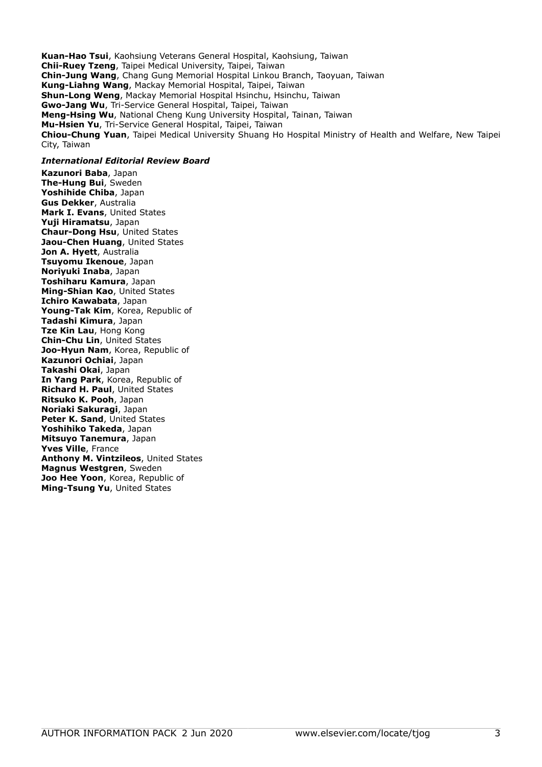**Kuan-Hao Tsui**, Kaohsiung Veterans General Hospital, Kaohsiung, Taiwan **Chii-Ruey Tzeng**, Taipei Medical University, Taipei, Taiwan **Chin-Jung Wang**, Chang Gung Memorial Hospital Linkou Branch, Taoyuan, Taiwan **Kung-Liahng Wang**, Mackay Memorial Hospital, Taipei, Taiwan **Shun-Long Weng**, Mackay Memorial Hospital Hsinchu, Hsinchu, Taiwan **Gwo-Jang Wu**, Tri-Service General Hospital, Taipei, Taiwan **Meng-Hsing Wu**, National Cheng Kung University Hospital, Tainan, Taiwan **Mu-Hsien Yu**, Tri-Service General Hospital, Taipei, Taiwan **Chiou-Chung Yuan**, Taipei Medical University Shuang Ho Hospital Ministry of Health and Welfare, New Taipei City, Taiwan

#### *International Editorial Review Board*

**Kazunori Baba**, Japan **The-Hung Bui**, Sweden **Yoshihide Chiba**, Japan **Gus Dekker**, Australia **Mark I. Evans**, United States **Yuji Hiramatsu**, Japan **Chaur-Dong Hsu**, United States **Jaou-Chen Huang**, United States **Jon A. Hyett**, Australia **Tsuyomu Ikenoue**, Japan **Noriyuki Inaba**, Japan **Toshiharu Kamura**, Japan **Ming-Shian Kao**, United States **Ichiro Kawabata**, Japan Young-Tak Kim, Korea, Republic of **Tadashi Kimura**, Japan **Tze Kin Lau**, Hong Kong **Chin-Chu Lin**, United States **Joo-Hyun Nam**, Korea, Republic of **Kazunori Ochiai**, Japan **Takashi Okai**, Japan **In Yang Park**, Korea, Republic of **Richard H. Paul**, United States **Ritsuko K. Pooh**, Japan **Noriaki Sakuragi**, Japan **Peter K. Sand**, United States **Yoshihiko Takeda**, Japan **Mitsuyo Tanemura**, Japan **Yves Ville**, France **Anthony M. Vintzileos**, United States **Magnus Westgren**, Sweden **Joo Hee Yoon**, Korea, Republic of **Ming-Tsung Yu**, United States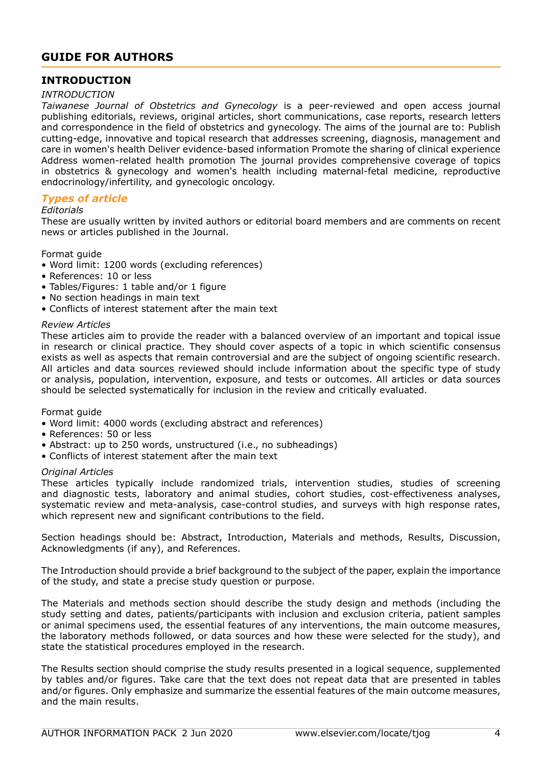# <span id="page-3-0"></span>**GUIDE FOR AUTHORS**

# **INTRODUCTION**

### *INTRODUCTION*

*Taiwanese Journal of Obstetrics and Gynecology* is a peer-reviewed and open access journal publishing editorials, reviews, original articles, short communications, case reports, research letters and correspondence in the field of obstetrics and gynecology. The aims of the journal are to: Publish cutting-edge, innovative and topical research that addresses screening, diagnosis, management and care in women's health Deliver evidence-based information Promote the sharing of clinical experience Address women-related health promotion The journal provides comprehensive coverage of topics in obstetrics & gynecology and women's health including maternal-fetal medicine, reproductive endocrinology/infertility, and gynecologic oncology.

### *Types of article*

#### *Editorials*

These are usually written by invited authors or editorial board members and are comments on recent news or articles published in the Journal.

Format guide

- Word limit: 1200 words (excluding references)
- References: 10 or less
- Tables/Figures: 1 table and/or 1 figure
- No section headings in main text
- Conflicts of interest statement after the main text

#### *Review Articles*

These articles aim to provide the reader with a balanced overview of an important and topical issue in research or clinical practice. They should cover aspects of a topic in which scientific consensus exists as well as aspects that remain controversial and are the subject of ongoing scientific research. All articles and data sources reviewed should include information about the specific type of study or analysis, population, intervention, exposure, and tests or outcomes. All articles or data sources should be selected systematically for inclusion in the review and critically evaluated.

### Format guide

- Word limit: 4000 words (excluding abstract and references)
- References: 50 or less
- Abstract: up to 250 words, unstructured (i.e., no subheadings)
- Conflicts of interest statement after the main text

#### *Original Articles*

These articles typically include randomized trials, intervention studies, studies of screening and diagnostic tests, laboratory and animal studies, cohort studies, cost-effectiveness analyses, systematic review and meta-analysis, case-control studies, and surveys with high response rates, which represent new and significant contributions to the field.

Section headings should be: Abstract, Introduction, Materials and methods, Results, Discussion, Acknowledgments (if any), and References.

The Introduction should provide a brief background to the subject of the paper, explain the importance of the study, and state a precise study question or purpose.

The Materials and methods section should describe the study design and methods (including the study setting and dates, patients/participants with inclusion and exclusion criteria, patient samples or animal specimens used, the essential features of any interventions, the main outcome measures, the laboratory methods followed, or data sources and how these were selected for the study), and state the statistical procedures employed in the research.

The Results section should comprise the study results presented in a logical sequence, supplemented by tables and/or figures. Take care that the text does not repeat data that are presented in tables and/or figures. Only emphasize and summarize the essential features of the main outcome measures, and the main results.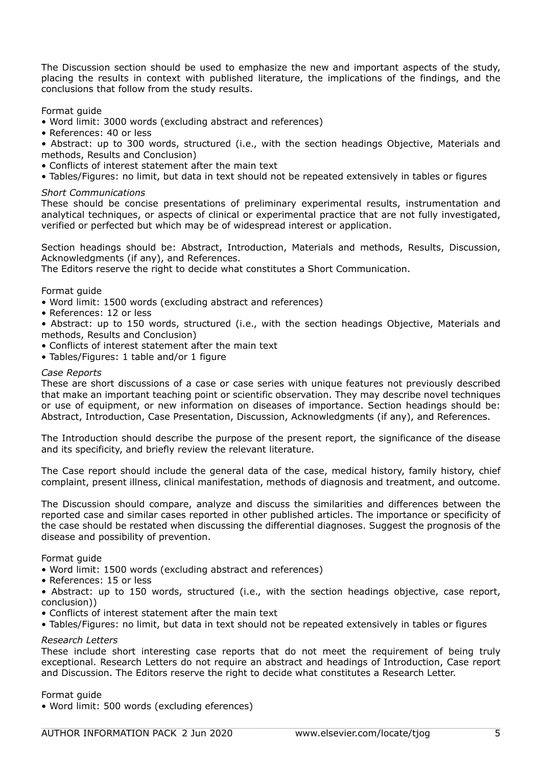The Discussion section should be used to emphasize the new and important aspects of the study, placing the results in context with published literature, the implications of the findings, and the conclusions that follow from the study results.

Format guide

• Word limit: 3000 words (excluding abstract and references)

• References: 40 or less

• Abstract: up to 300 words, structured (i.e., with the section headings Objective, Materials and methods, Results and Conclusion)

• Conflicts of interest statement after the main text

• Tables/Figures: no limit, but data in text should not be repeated extensively in tables or figures

### *Short Communications*

These should be concise presentations of preliminary experimental results, instrumentation and analytical techniques, or aspects of clinical or experimental practice that are not fully investigated, verified or perfected but which may be of widespread interest or application.

Section headings should be: Abstract, Introduction, Materials and methods, Results, Discussion, Acknowledgments (if any), and References.

The Editors reserve the right to decide what constitutes a Short Communication.

Format guide

• Word limit: 1500 words (excluding abstract and references)

• References: 12 or less

• Abstract: up to 150 words, structured (i.e., with the section headings Objective, Materials and methods, Results and Conclusion)

• Conflicts of interest statement after the main text

• Tables/Figures: 1 table and/or 1 figure

### *Case Reports*

These are short discussions of a case or case series with unique features not previously described that make an important teaching point or scientific observation. They may describe novel techniques or use of equipment, or new information on diseases of importance. Section headings should be: Abstract, Introduction, Case Presentation, Discussion, Acknowledgments (if any), and References.

The Introduction should describe the purpose of the present report, the significance of the disease and its specificity, and briefly review the relevant literature.

The Case report should include the general data of the case, medical history, family history, chief complaint, present illness, clinical manifestation, methods of diagnosis and treatment, and outcome.

The Discussion should compare, analyze and discuss the similarities and differences between the reported case and similar cases reported in other published articles. The importance or specificity of the case should be restated when discussing the differential diagnoses. Suggest the prognosis of the disease and possibility of prevention.

Format guide

- Word limit: 1500 words (excluding abstract and references)
- References: 15 or less

• Abstract: up to 150 words, structured (i.e., with the section headings objective, case report, conclusion))

- Conflicts of interest statement after the main text
- Tables/Figures: no limit, but data in text should not be repeated extensively in tables or figures

### *Research Letters*

These include short interesting case reports that do not meet the requirement of being truly exceptional. Research Letters do not require an abstract and headings of Introduction, Case report and Discussion. The Editors reserve the right to decide what constitutes a Research Letter.

### Format guide

• Word limit: 500 words (excluding eferences)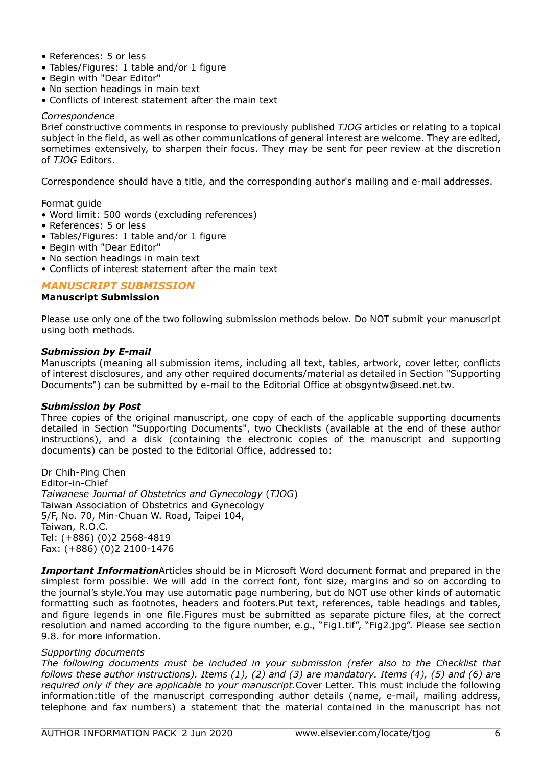- References: 5 or less
- Tables/Figures: 1 table and/or 1 figure
- Begin with "Dear Editor"
- No section headings in main text
- Conflicts of interest statement after the main text

#### *Correspondence*

Brief constructive comments in response to previously published *TJOG* articles or relating to a topical subject in the field, as well as other communications of general interest are welcome. They are edited, sometimes extensively, to sharpen their focus. They may be sent for peer review at the discretion of *TJOG* Editors.

Correspondence should have a title, and the corresponding author's mailing and e-mail addresses.

Format guide

- Word limit: 500 words (excluding references)
- References: 5 or less
- Tables/Figures: 1 table and/or 1 figure
- Begin with "Dear Editor"
- No section headings in main text
- Conflicts of interest statement after the main text

### *MANUSCRIPT SUBMISSION*

### **Manuscript Submission**

Please use only one of the two following submission methods below. Do NOT submit your manuscript using both methods.

#### *Submission by E-mail*

Manuscripts (meaning all submission items, including all text, tables, artwork, cover letter, conflicts of interest disclosures, and any other required documents/material as detailed in Section "Supporting Documents") can be submitted by e-mail to the Editorial Office at obsgyntw@seed.net.tw.

### *Submission by Post*

Three copies of the original manuscript, one copy of each of the applicable supporting documents detailed in Section "Supporting Documents", two Checklists (available at the end of these author instructions), and a disk (containing the electronic copies of the manuscript and supporting documents) can be posted to the Editorial Office, addressed to:

Dr Chih-Ping Chen Editor-in-Chief *Taiwanese Journal of Obstetrics and Gynecology* (*TJOG*) Taiwan Association of Obstetrics and Gynecology 5/F, No. 70, Min-Chuan W. Road, Taipei 104, Taiwan, R.O.C. Tel: (+886) (0)2 2568-4819 Fax: (+886) (0)2 2100-1476

*Important Information*Articles should be in Microsoft Word document format and prepared in the simplest form possible. We will add in the correct font, font size, margins and so on according to the journal's style.You may use automatic page numbering, but do NOT use other kinds of automatic formatting such as footnotes, headers and footers.Put text, references, table headings and tables, and figure legends in one file. Figures must be submitted as separate picture files, at the correct resolution and named according to the figure number, e.g., "Fig1.tif", "Fig2.jpg". Please see section 9.8. for more information.

#### *Supporting documents*

*The following documents must be included in your submission (refer also to the Checklist that follows these author instructions). Items (1), (2) and (3) are mandatory. Items (4), (5) and (6) are required only if they are applicable to your manuscript.*Cover Letter. This must include the following information:title of the manuscript corresponding author details (name, e-mail, mailing address, telephone and fax numbers) a statement that the material contained in the manuscript has not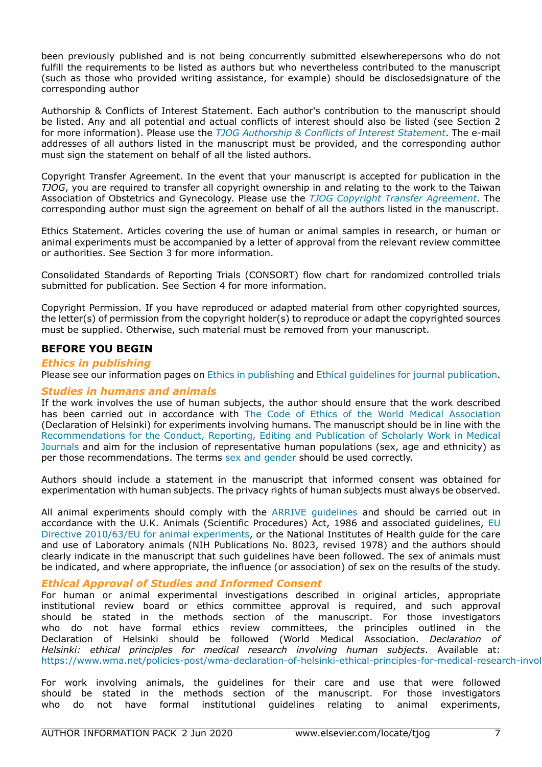been previously published and is not being concurrently submitted elsewherepersons who do not fulfill the requirements to be listed as authors but who nevertheless contributed to the manuscript (such as those who provided writing assistance, for example) should be disclosedsignature of the corresponding author

Authorship & Conflicts of Interest Statement. Each author's contribution to the manuscript should be listed. Any and all potential and actual conflicts of interest should also be listed (see Section 2 for more information). Please use the *[TJOG Authorship & Conflicts of Interest Statement](https://www.elsevier.com/__data/promis_misc/tjog_ascoi.pdf)*. The e-mail addresses of all authors listed in the manuscript must be provided, and the corresponding author must sign the statement on behalf of all the listed authors.

Copyright Transfer Agreement. In the event that your manuscript is accepted for publication in the *TJOG*, you are required to transfer all copyright ownership in and relating to the work to the Taiwan Association of Obstetrics and Gynecology. Please use the *[TJOG Copyright Transfer Agreement](https://www.elsevier.com/__data/promis_misc/tjog_copyright_transfer_agreement.pdf)*. The corresponding author must sign the agreement on behalf of all the authors listed in the manuscript.

Ethics Statement. Articles covering the use of human or animal samples in research, or human or animal experiments must be accompanied by a letter of approval from the relevant review committee or authorities. See Section 3 for more information.

Consolidated Standards of Reporting Trials (CONSORT) flow chart for randomized controlled trials submitted for publication. See Section 4 for more information.

Copyright Permission. If you have reproduced or adapted material from other copyrighted sources, the letter(s) of permission from the copyright holder(s) to reproduce or adapt the copyrighted sources must be supplied. Otherwise, such material must be removed from your manuscript.

### **BEFORE YOU BEGIN**

### *Ethics in publishing*

Please see our information pages on [Ethics in publishing](https://www.elsevier.com/about/policies/publishing-ethics) and [Ethical guidelines for journal publication](https://www.elsevier.com/authors/journal-authors/policies-and-ethics).

### *Studies in humans and animals*

If the work involves the use of human subjects, the author should ensure that the work described has been carried out in accordance with [The Code of Ethics of the World Medical Association](https://www.wma.net/policies-post/wma-declaration-of-helsinki-ethical-principles-for-medical-research-involving-human-subjects/) (Declaration of Helsinki) for experiments involving humans. The manuscript should be in line with the [Recommendations for the Conduct, Reporting, Editing and Publication of Scholarly Work in Medical](http://www.icmje.org/recommendations/) [Journals](http://www.icmje.org/recommendations/) and aim for the inclusion of representative human populations (sex, age and ethnicity) as per those recommendations. The terms [sex and gender](http://www.who.int/gender-equity-rights/understanding/gender-definition/en/) should be used correctly.

Authors should include a statement in the manuscript that informed consent was obtained for experimentation with human subjects. The privacy rights of human subjects must always be observed.

All animal experiments should comply with the [ARRIVE guidelines](https://www.nc3rs.org.uk/arrive-guidelines) and should be carried out in accordance with the U.K. Animals (Scientific Procedures) Act, 1986 and associated guidelines, [EU](http://ec.europa.eu/environment/chemicals/lab_animals/legislation_en.htm) [Directive 2010/63/EU for animal experiments](http://ec.europa.eu/environment/chemicals/lab_animals/legislation_en.htm), or the National Institutes of Health guide for the care and use of Laboratory animals (NIH Publications No. 8023, revised 1978) and the authors should clearly indicate in the manuscript that such guidelines have been followed. The sex of animals must be indicated, and where appropriate, the influence (or association) of sex on the results of the study.

### *Ethical Approval of Studies and Informed Consent*

For human or animal experimental investigations described in original articles, appropriate institutional review board or ethics committee approval is required, and such approval should be stated in the methods section of the manuscript. For those investigators who do not have formal ethics review committees, the principles outlined in the Declaration of Helsinki should be followed (World Medical Association. *Declaration of Helsinki: ethical principles for medical research involving human subjects*. Available at: https://www.wma.net/policies-post/wma-declaration-of-helsinki-ethical-principles-for-medical-research-invol

For work involving animals, the guidelines for their care and use that were followed should be stated in the methods section of the manuscript. For those investigators who do not have formal institutional guidelines relating to animal experiments,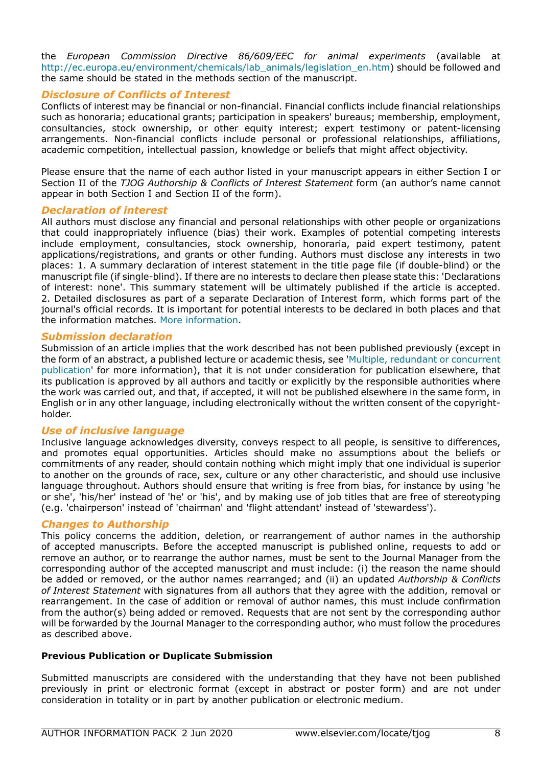the *European Commission Directive 86/609/EEC for animal experiments* (available at http://ec.europa.eu/environment/chemicals/lab\_animals/legislation\_en.htm) should be followed and the same should be stated in the methods section of the manuscript.

### *Disclosure of Conflicts of Interest*

Conflicts of interest may be financial or non-financial. Financial conflicts include financial relationships such as honoraria; educational grants; participation in speakers' bureaus; membership, employment, consultancies, stock ownership, or other equity interest; expert testimony or patent-licensing arrangements. Non-financial conflicts include personal or professional relationships, affiliations, academic competition, intellectual passion, knowledge or beliefs that might affect objectivity.

Please ensure that the name of each author listed in your manuscript appears in either Section I or Section II of the *TJOG Authorship & Conflicts of Interest Statement* form (an author's name cannot appear in both Section I and Section II of the form).

### *Declaration of interest*

All authors must disclose any financial and personal relationships with other people or organizations that could inappropriately influence (bias) their work. Examples of potential competing interests include employment, consultancies, stock ownership, honoraria, paid expert testimony, patent applications/registrations, and grants or other funding. Authors must disclose any interests in two places: 1. A summary declaration of interest statement in the title page file (if double-blind) or the manuscript file (if single-blind). If there are no interests to declare then please state this: 'Declarations of interest: none'. This summary statement will be ultimately published if the article is accepted. 2. Detailed disclosures as part of a separate Declaration of Interest form, which forms part of the journal's official records. It is important for potential interests to be declared in both places and that the information matches. [More information.](http://service.elsevier.com/app/answers/detail/a_id/286/supporthub/publishing)

### *Submission declaration*

Submission of an article implies that the work described has not been published previously (except in the form of an abstract, a published lecture or academic thesis, see '[Multiple, redundant or concurrent](https://www.elsevier.com/authors/journal-authors/policies-and-ethics) [publication](https://www.elsevier.com/authors/journal-authors/policies-and-ethics)' for more information), that it is not under consideration for publication elsewhere, that its publication is approved by all authors and tacitly or explicitly by the responsible authorities where the work was carried out, and that, if accepted, it will not be published elsewhere in the same form, in English or in any other language, including electronically without the written consent of the copyrightholder.

### *Use of inclusive language*

Inclusive language acknowledges diversity, conveys respect to all people, is sensitive to differences, and promotes equal opportunities. Articles should make no assumptions about the beliefs or commitments of any reader, should contain nothing which might imply that one individual is superior to another on the grounds of race, sex, culture or any other characteristic, and should use inclusive language throughout. Authors should ensure that writing is free from bias, for instance by using 'he or she', 'his/her' instead of 'he' or 'his', and by making use of job titles that are free of stereotyping (e.g. 'chairperson' instead of 'chairman' and 'flight attendant' instead of 'stewardess').

### *Changes to Authorship*

This policy concerns the addition, deletion, or rearrangement of author names in the authorship of accepted manuscripts. Before the accepted manuscript is published online, requests to add or remove an author, or to rearrange the author names, must be sent to the Journal Manager from the corresponding author of the accepted manuscript and must include: (i) the reason the name should be added or removed, or the author names rearranged; and (ii) an updated *Authorship & Conflicts of Interest Statement* with signatures from all authors that they agree with the addition, removal or rearrangement. In the case of addition or removal of author names, this must include confirmation from the author(s) being added or removed. Requests that are not sent by the corresponding author will be forwarded by the Journal Manager to the corresponding author, who must follow the procedures as described above.

### **Previous Publication or Duplicate Submission**

Submitted manuscripts are considered with the understanding that they have not been published previously in print or electronic format (except in abstract or poster form) and are not under consideration in totality or in part by another publication or electronic medium.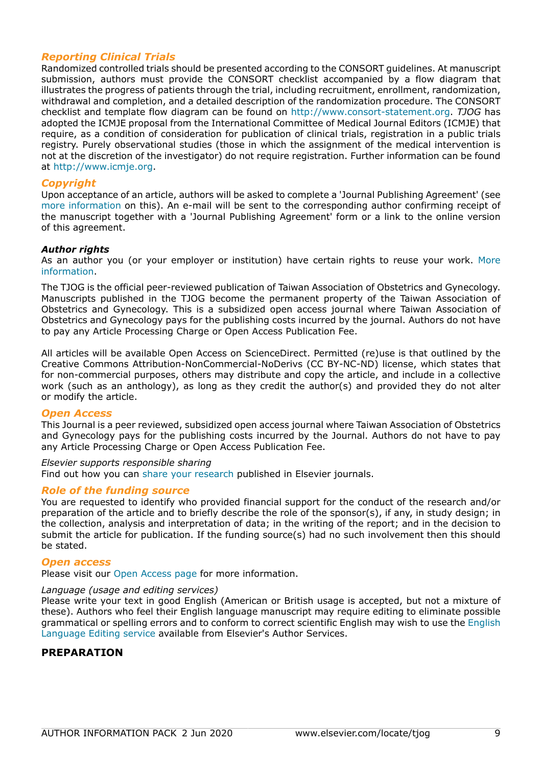# *Reporting Clinical Trials*

Randomized controlled trials should be presented according to the CONSORT guidelines. At manuscript submission, authors must provide the CONSORT checklist accompanied by a flow diagram that illustrates the progress of patients through the trial, including recruitment, enrollment, randomization, withdrawal and completion, and a detailed description of the randomization procedure. The CONSORT checklist and template flow diagram can be found on http://www.consort-statement.org. *TJOG* has adopted the ICMJE proposal from the International Committee of Medical Journal Editors (ICMJE) that require, as a condition of consideration for publication of clinical trials, registration in a public trials registry. Purely observational studies (those in which the assignment of the medical intervention is not at the discretion of the investigator) do not require registration. Further information can be found at http://www.icmje.org.

### *Copyright*

Upon acceptance of an article, authors will be asked to complete a 'Journal Publishing Agreement' (see [more information](https://www.elsevier.com/about/policies/copyright) on this). An e-mail will be sent to the corresponding author confirming receipt of the manuscript together with a 'Journal Publishing Agreement' form or a link to the online version of this agreement.

### *Author rights*

As an author you (or your employer or institution) have certain rights to reuse your work. [More](https://www.elsevier.com/about/policies/copyright) [information](https://www.elsevier.com/about/policies/copyright).

The TJOG is the official peer-reviewed publication of Taiwan Association of Obstetrics and Gynecology. Manuscripts published in the TJOG become the permanent property of the Taiwan Association of Obstetrics and Gynecology. This is a subsidized open access journal where Taiwan Association of Obstetrics and Gynecology pays for the publishing costs incurred by the journal. Authors do not have to pay any Article Processing Charge or Open Access Publication Fee.

All articles will be available Open Access on ScienceDirect. Permitted (re)use is that outlined by the Creative Commons Attribution-NonCommercial-NoDerivs (CC BY-NC-ND) license, which states that for non-commercial purposes, others may distribute and copy the article, and include in a collective work (such as an anthology), as long as they credit the author(s) and provided they do not alter or modify the article.

### *Open Access*

This Journal is a peer reviewed, subsidized open access journal where Taiwan Association of Obstetrics and Gynecology pays for the publishing costs incurred by the Journal. Authors do not have to pay any Article Processing Charge or Open Access Publication Fee.

### *Elsevier supports responsible sharing*

Find out how you can [share your research](https://www.elsevier.com/authors/journal-authors/submit-your-paper/sharing-and-promoting-your-article) published in Elsevier journals.

### *Role of the funding source*

You are requested to identify who provided financial support for the conduct of the research and/or preparation of the article and to briefly describe the role of the sponsor(s), if any, in study design; in the collection, analysis and interpretation of data; in the writing of the report; and in the decision to submit the article for publication. If the funding source(s) had no such involvement then this should be stated.

### *Open access*

Please visit our [Open Access page](https://www.elsevier.com/journals/taiwanese-journal-of-obstetrics-and-gynecology/1028-4559/open-access-journal) for more information.

### *Language (usage and editing services)*

Please write your text in good English (American or British usage is accepted, but not a mixture of these). Authors who feel their English language manuscript may require editing to eliminate possible grammatical or spelling errors and to conform to correct scientific English may wish to use the [English](http://webshop.elsevier.com/languageediting/) [Language Editing service](http://webshop.elsevier.com/languageediting/) available from Elsevier's Author Services.

### **PREPARATION**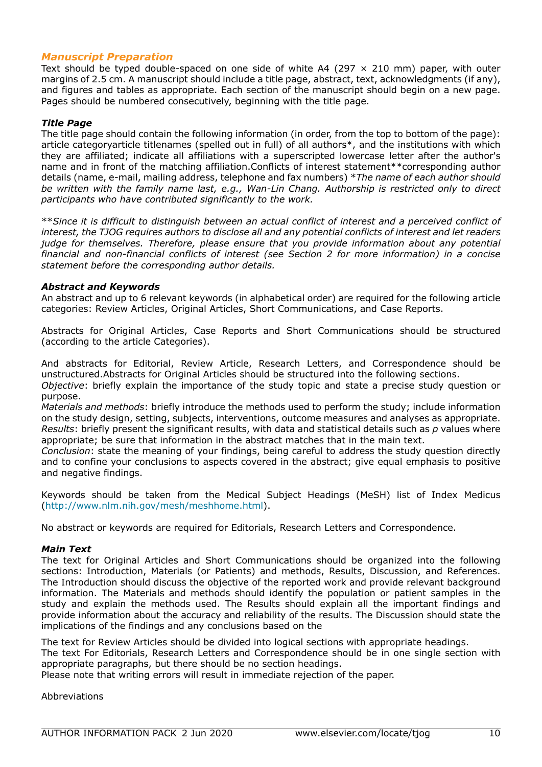### *Manuscript Preparation*

Text should be typed double-spaced on one side of white A4 (297  $\times$  210 mm) paper, with outer margins of 2.5 cm. A manuscript should include a title page, abstract, text, acknowledgments (if any), and figures and tables as appropriate. Each section of the manuscript should begin on a new page. Pages should be numbered consecutively, beginning with the title page.

### *Title Page*

The title page should contain the following information (in order, from the top to bottom of the page): article categoryarticle titlenames (spelled out in full) of all authors\*, and the institutions with which they are affiliated; indicate all affiliations with a superscripted lowercase letter after the author's name and in front of the matching affiliation.Conflicts of interest statement\*\*corresponding author details (name, e-mail, mailing address, telephone and fax numbers) \**The name of each author should be written with the family name last, e.g., Wan-Lin Chang. Authorship is restricted only to direct participants who have contributed significantly to the work.*

\*\**Since it is difficult to distinguish between an actual conflict of interest and a perceived conflict of interest, the TJOG requires authors to disclose all and any potential conflicts of interest and let readers judge for themselves. Therefore, please ensure that you provide information about any potential financial and non-financial conflicts of interest (see Section 2 for more information) in a concise statement before the corresponding author details.*

### *Abstract and Keywords*

An abstract and up to 6 relevant keywords (in alphabetical order) are required for the following article categories: Review Articles, Original Articles, Short Communications, and Case Reports.

Abstracts for Original Articles, Case Reports and Short Communications should be structured (according to the article Categories).

And abstracts for Editorial, Review Article, Research Letters, and Correspondence should be unstructured.Abstracts for Original Articles should be structured into the following sections.

*Objective*: briefly explain the importance of the study topic and state a precise study question or purpose.

*Materials and methods*: briefly introduce the methods used to perform the study; include information on the study design, setting, subjects, interventions, outcome measures and analyses as appropriate. *Results*: briefly present the significant results, with data and statistical details such as *p* values where appropriate; be sure that information in the abstract matches that in the main text.

*Conclusion*: state the meaning of your findings, being careful to address the study question directly and to confine your conclusions to aspects covered in the abstract; give equal emphasis to positive and negative findings.

Keywords should be taken from the Medical Subject Headings (MeSH) list of Index Medicus (http://www.nlm.nih.gov/mesh/meshhome.html).

No abstract or keywords are required for Editorials, Research Letters and Correspondence.

### *Main Text*

The text for Original Articles and Short Communications should be organized into the following sections: Introduction, Materials (or Patients) and methods, Results, Discussion, and References. The Introduction should discuss the objective of the reported work and provide relevant background information. The Materials and methods should identify the population or patient samples in the study and explain the methods used. The Results should explain all the important findings and provide information about the accuracy and reliability of the results. The Discussion should state the implications of the findings and any conclusions based on the

The text for Review Articles should be divided into logical sections with appropriate headings.

The text For Editorials, Research Letters and Correspondence should be in one single section with appropriate paragraphs, but there should be no section headings.

Please note that writing errors will result in immediate rejection of the paper.

Abbreviations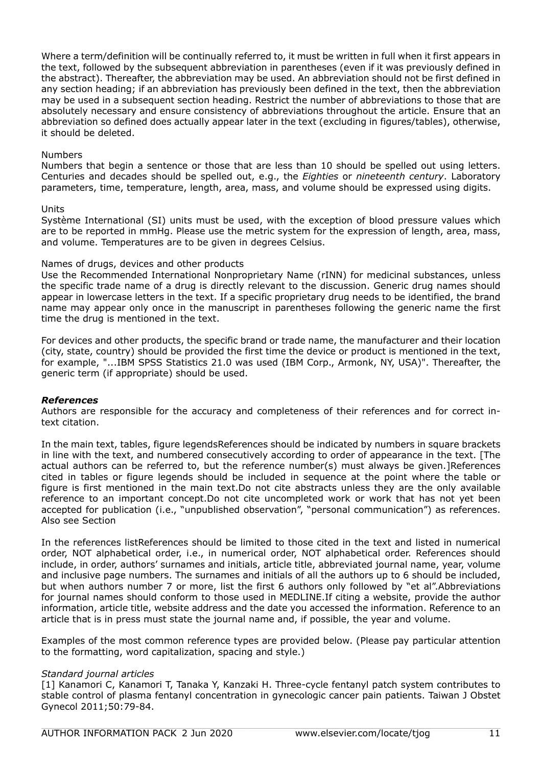Where a term/definition will be continually referred to, it must be written in full when it first appears in the text, followed by the subsequent abbreviation in parentheses (even if it was previously defined in the abstract). Thereafter, the abbreviation may be used. An abbreviation should not be first defined in any section heading; if an abbreviation has previously been defined in the text, then the abbreviation may be used in a subsequent section heading. Restrict the number of abbreviations to those that are absolutely necessary and ensure consistency of abbreviations throughout the article. Ensure that an abbreviation so defined does actually appear later in the text (excluding in figures/tables), otherwise, it should be deleted.

#### Numbers

Numbers that begin a sentence or those that are less than 10 should be spelled out using letters. Centuries and decades should be spelled out, e.g., the *Eighties* or *nineteenth century*. Laboratory parameters, time, temperature, length, area, mass, and volume should be expressed using digits.

### Units

Système International (SI) units must be used, with the exception of blood pressure values which are to be reported in mmHg. Please use the metric system for the expression of length, area, mass, and volume. Temperatures are to be given in degrees Celsius.

### Names of drugs, devices and other products

Use the Recommended International Nonproprietary Name (rINN) for medicinal substances, unless the specific trade name of a drug is directly relevant to the discussion. Generic drug names should appear in lowercase letters in the text. If a specific proprietary drug needs to be identified, the brand name may appear only once in the manuscript in parentheses following the generic name the first time the drug is mentioned in the text.

For devices and other products, the specific brand or trade name, the manufacturer and their location (city, state, country) should be provided the first time the device or product is mentioned in the text, for example, "...IBM SPSS Statistics 21.0 was used (IBM Corp., Armonk, NY, USA)". Thereafter, the generic term (if appropriate) should be used.

#### *References*

Authors are responsible for the accuracy and completeness of their references and for correct intext citation.

In the main text, tables, figure legendsReferences should be indicated by numbers in square brackets in line with the text, and numbered consecutively according to order of appearance in the text. [The actual authors can be referred to, but the reference number(s) must always be given.]References cited in tables or figure legends should be included in sequence at the point where the table or figure is first mentioned in the main text.Do not cite abstracts unless they are the only available reference to an important concept.Do not cite uncompleted work or work that has not yet been accepted for publication (i.e., "unpublished observation", "personal communication") as references. Also see Section

In the references listReferences should be limited to those cited in the text and listed in numerical order, NOT alphabetical order, i.e., in numerical order, NOT alphabetical order. References should include, in order, authors' surnames and initials, article title, abbreviated journal name, year, volume and inclusive page numbers. The surnames and initials of all the authors up to 6 should be included, but when authors number 7 or more, list the first 6 authors only followed by "et al".Abbreviations for journal names should conform to those used in MEDLINE.If citing a website, provide the author information, article title, website address and the date you accessed the information. Reference to an article that is in press must state the journal name and, if possible, the year and volume.

Examples of the most common reference types are provided below. (Please pay particular attention to the formatting, word capitalization, spacing and style.)

### *Standard journal articles*

[1] Kanamori C, Kanamori T, Tanaka Y, Kanzaki H. Three-cycle fentanyl patch system contributes to stable control of plasma fentanyl concentration in gynecologic cancer pain patients. Taiwan J Obstet Gynecol 2011;50:79-84.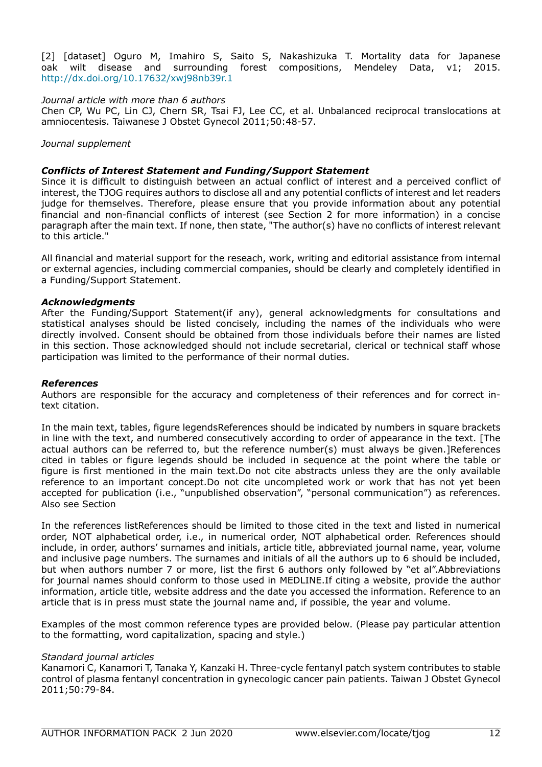[2] [dataset] Oguro M, Imahiro S, Saito S, Nakashizuka T. Mortality data for Japanese oak wilt disease and surrounding forest compositions, Mendeley Data, v1; 2015. http://dx.doi.org/10.17632/xwj98nb39r.1

#### *Journal article with more than 6 authors*

Chen CP, Wu PC, Lin CJ, Chern SR, Tsai FJ, Lee CC, et al. Unbalanced reciprocal translocations at amniocentesis. Taiwanese J Obstet Gynecol 2011;50:48-57.

#### *Journal supplement*

#### *Conflicts of Interest Statement and Funding/Support Statement*

Since it is difficult to distinguish between an actual conflict of interest and a perceived conflict of interest, the TJOG requires authors to disclose all and any potential conflicts of interest and let readers judge for themselves. Therefore, please ensure that you provide information about any potential financial and non-financial conflicts of interest (see Section 2 for more information) in a concise paragraph after the main text. If none, then state, "The author(s) have no conflicts of interest relevant to this article."

All financial and material support for the reseach, work, writing and editorial assistance from internal or external agencies, including commercial companies, should be clearly and completely identified in a Funding/Support Statement.

#### *Acknowledgments*

After the Funding/Support Statement(if any), general acknowledgments for consultations and statistical analyses should be listed concisely, including the names of the individuals who were directly involved. Consent should be obtained from those individuals before their names are listed in this section. Those acknowledged should not include secretarial, clerical or technical staff whose participation was limited to the performance of their normal duties.

#### *References*

Authors are responsible for the accuracy and completeness of their references and for correct intext citation.

In the main text, tables, figure legendsReferences should be indicated by numbers in square brackets in line with the text, and numbered consecutively according to order of appearance in the text. [The actual authors can be referred to, but the reference number(s) must always be given.]References cited in tables or figure legends should be included in sequence at the point where the table or figure is first mentioned in the main text.Do not cite abstracts unless they are the only available reference to an important concept.Do not cite uncompleted work or work that has not yet been accepted for publication (i.e., "unpublished observation", "personal communication") as references. Also see Section

In the references listReferences should be limited to those cited in the text and listed in numerical order, NOT alphabetical order, i.e., in numerical order, NOT alphabetical order. References should include, in order, authors' surnames and initials, article title, abbreviated journal name, year, volume and inclusive page numbers. The surnames and initials of all the authors up to 6 should be included, but when authors number 7 or more, list the first 6 authors only followed by "et al".Abbreviations for journal names should conform to those used in MEDLINE.If citing a website, provide the author information, article title, website address and the date you accessed the information. Reference to an article that is in press must state the journal name and, if possible, the year and volume.

Examples of the most common reference types are provided below. (Please pay particular attention to the formatting, word capitalization, spacing and style.)

#### *Standard journal articles*

Kanamori C, Kanamori T, Tanaka Y, Kanzaki H. Three-cycle fentanyl patch system contributes to stable control of plasma fentanyl concentration in gynecologic cancer pain patients. Taiwan J Obstet Gynecol 2011;50:79-84.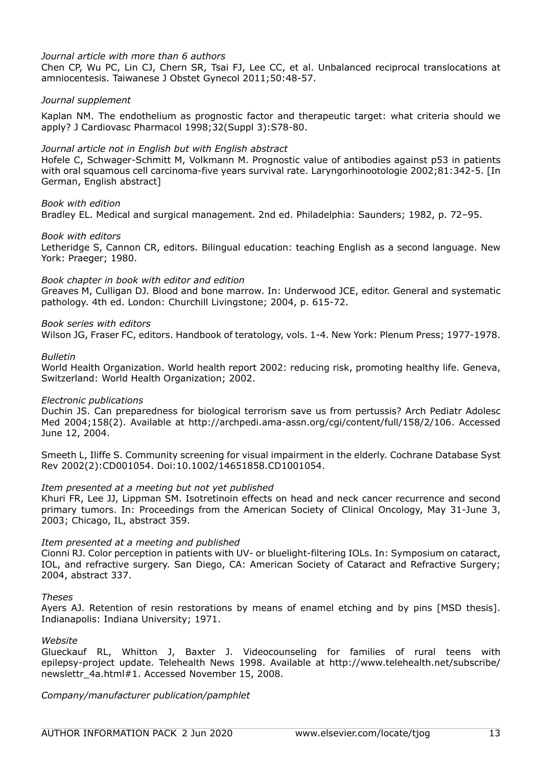### *Journal article with more than 6 authors*

Chen CP, Wu PC, Lin CJ, Chern SR, Tsai FJ, Lee CC, et al. Unbalanced reciprocal translocations at amniocentesis. Taiwanese J Obstet Gynecol 2011;50:48-57.

### *Journal supplement*

Kaplan NM. The endothelium as prognostic factor and therapeutic target: what criteria should we apply? J Cardiovasc Pharmacol 1998;32(Suppl 3):S78-80.

### *Journal article not in English but with English abstract*

Hofele C, Schwager-Schmitt M, Volkmann M. Prognostic value of antibodies against p53 in patients with oral squamous cell carcinoma-five years survival rate. Laryngorhinootologie 2002;81:342-5. [In German, English abstract]

### *Book with edition*

Bradley EL. Medical and surgical management. 2nd ed. Philadelphia: Saunders; 1982, p. 72–95.

### *Book with editors*

Letheridge S, Cannon CR, editors. Bilingual education: teaching English as a second language. New York: Praeger; 1980.

### *Book chapter in book with editor and edition*

Greaves M, Culligan DJ. Blood and bone marrow. In: Underwood JCE, editor. General and systematic pathology. 4th ed. London: Churchill Livingstone; 2004, p. 615-72.

### *Book series with editors*

Wilson JG, Fraser FC, editors. Handbook of teratology, vols. 1-4. New York: Plenum Press; 1977-1978.

#### *Bulletin*

World Health Organization. World health report 2002: reducing risk, promoting healthy life. Geneva, Switzerland: World Health Organization; 2002.

### *Electronic publications*

Duchin JS. Can preparedness for biological terrorism save us from pertussis? Arch Pediatr Adolesc Med 2004;158(2). Available at http://archpedi.ama-assn.org/cgi/content/full/158/2/106. Accessed June 12, 2004.

Smeeth L, Iliffe S. Community screening for visual impairment in the elderly. Cochrane Database Syst Rev 2002(2):CD001054. Doi:10.1002/14651858.CD1001054.

### *Item presented at a meeting but not yet published*

Khuri FR, Lee JJ, Lippman SM. Isotretinoin effects on head and neck cancer recurrence and second primary tumors. In: Proceedings from the American Society of Clinical Oncology, May 31-June 3, 2003; Chicago, IL, abstract 359.

### *Item presented at a meeting and published*

Cionni RJ. Color perception in patients with UV- or bluelight-filtering IOLs. In: Symposium on cataract, IOL, and refractive surgery. San Diego, CA: American Society of Cataract and Refractive Surgery; 2004, abstract 337.

### *Theses*

Ayers AJ. Retention of resin restorations by means of enamel etching and by pins [MSD thesis]. Indianapolis: Indiana University; 1971.

### *Website*

Glueckauf RL, Whitton J, Baxter J. Videocounseling for families of rural teens with epilepsy-project update. Telehealth News 1998. Available at http://www.telehealth.net/subscribe/ newslettr\_4a.html#1. Accessed November 15, 2008.

*Company/manufacturer publication/pamphlet*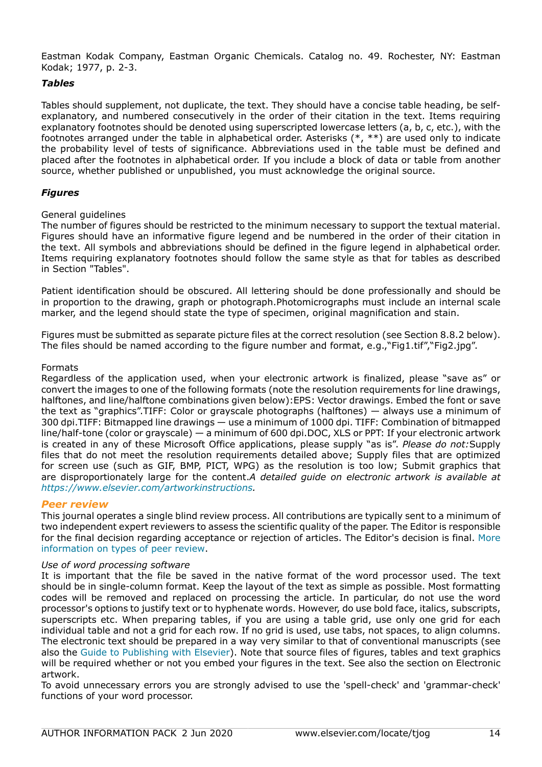Eastman Kodak Company, Eastman Organic Chemicals. Catalog no. 49. Rochester, NY: Eastman Kodak; 1977, p. 2-3.

### *Tables*

Tables should supplement, not duplicate, the text. They should have a concise table heading, be selfexplanatory, and numbered consecutively in the order of their citation in the text. Items requiring explanatory footnotes should be denoted using superscripted lowercase letters (a, b, c, etc.), with the footnotes arranged under the table in alphabetical order. Asterisks (\*, \*\*) are used only to indicate the probability level of tests of significance. Abbreviations used in the table must be defined and placed after the footnotes in alphabetical order. If you include a block of data or table from another source, whether published or unpublished, you must acknowledge the original source.

### *Figures*

### General guidelines

The number of figures should be restricted to the minimum necessary to support the textual material. Figures should have an informative figure legend and be numbered in the order of their citation in the text. All symbols and abbreviations should be defined in the figure legend in alphabetical order. Items requiring explanatory footnotes should follow the same style as that for tables as described in Section "Tables".

Patient identification should be obscured. All lettering should be done professionally and should be in proportion to the drawing, graph or photograph.Photomicrographs must include an internal scale marker, and the legend should state the type of specimen, original magnification and stain.

Figures must be submitted as separate picture files at the correct resolution (see Section 8.8.2 below). The files should be named according to the figure number and format, e.g.,"Fig1.tif","Fig2.jpg".

#### Formats

Regardless of the application used, when your electronic artwork is finalized, please "save as" or convert the images to one of the following formats (note the resolution requirements for line drawings, halftones, and line/halftone combinations given below):EPS: Vector drawings. Embed the font or save the text as "graphics".TIFF: Color or grayscale photographs (halftones) — always use a minimum of 300 dpi.TIFF: Bitmapped line drawings — use a minimum of 1000 dpi. TIFF: Combination of bitmapped line/half-tone (color or grayscale) — a minimum of 600 dpi.DOC, XLS or PPT: If your electronic artwork is created in any of these Microsoft Office applications, please supply "as is". *Please do not:*Supply files that do not meet the resolution requirements detailed above; Supply files that are optimized for screen use (such as GIF, BMP, PICT, WPG) as the resolution is too low; Submit graphics that are disproportionately large for the content.*A detailed guide on electronic artwork is available at https://www.elsevier.com/artworkinstructions.*

### *Peer review*

This journal operates a single blind review process. All contributions are typically sent to a minimum of two independent expert reviewers to assess the scientific quality of the paper. The Editor is responsible for the final decision regarding acceptance or rejection of articles. The Editor's decision is final. [More](https://www.elsevier.com/reviewers/what-is-peer-review) [information on types of peer review](https://www.elsevier.com/reviewers/what-is-peer-review).

### *Use of word processing software*

It is important that the file be saved in the native format of the word processor used. The text should be in single-column format. Keep the layout of the text as simple as possible. Most formatting codes will be removed and replaced on processing the article. In particular, do not use the word processor's options to justify text or to hyphenate words. However, do use bold face, italics, subscripts, superscripts etc. When preparing tables, if you are using a table grid, use only one grid for each individual table and not a grid for each row. If no grid is used, use tabs, not spaces, to align columns. The electronic text should be prepared in a way very similar to that of conventional manuscripts (see also the [Guide to Publishing with Elsevier\)](https://www.elsevier.com/authors/journal-authors/submit-your-paper). Note that source files of figures, tables and text graphics will be required whether or not you embed your figures in the text. See also the section on Electronic artwork.

To avoid unnecessary errors you are strongly advised to use the 'spell-check' and 'grammar-check' functions of your word processor.